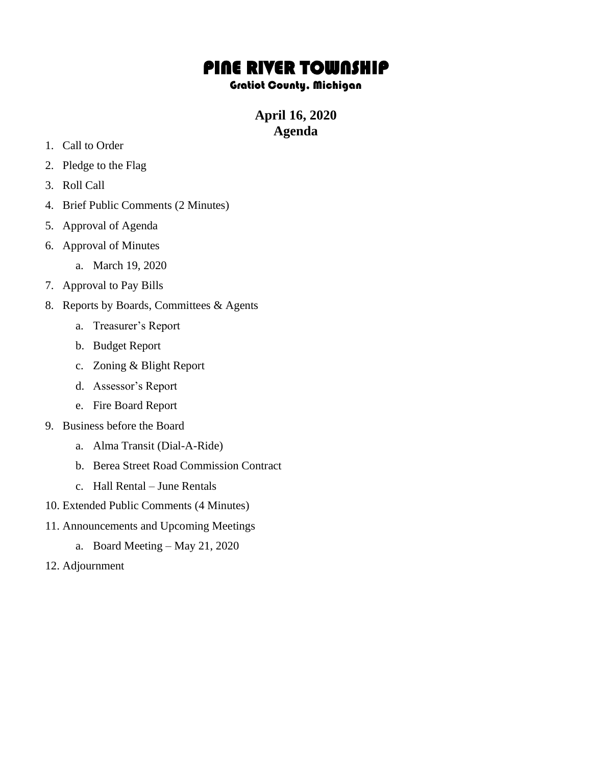## PINE RIVER TOWNSHIP

## Gratiot County, Michigan

## **April 16, 2020 Agenda**

- 1. Call to Order
- 2. Pledge to the Flag
- 3. Roll Call
- 4. Brief Public Comments (2 Minutes)
- 5. Approval of Agenda
- 6. Approval of Minutes
	- a. March 19, 2020
- 7. Approval to Pay Bills
- 8. Reports by Boards, Committees & Agents
	- a. Treasurer's Report
	- b. Budget Report
	- c. Zoning & Blight Report
	- d. Assessor's Report
	- e. Fire Board Report
- 9. Business before the Board
	- a. Alma Transit (Dial-A-Ride)
	- b. Berea Street Road Commission Contract
	- c. Hall Rental June Rentals
- 10. Extended Public Comments (4 Minutes)
- 11. Announcements and Upcoming Meetings
	- a. Board Meeting May 21, 2020
- 12. Adjournment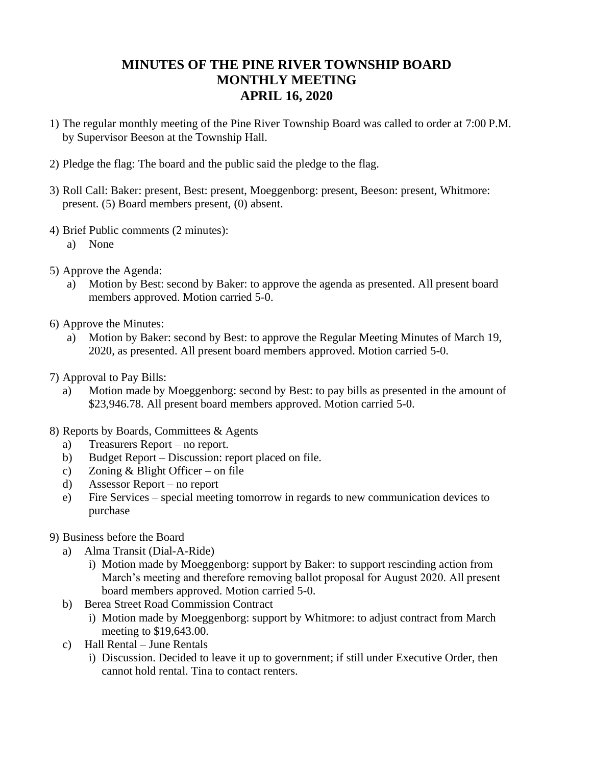## **MINUTES OF THE PINE RIVER TOWNSHIP BOARD MONTHLY MEETING APRIL 16, 2020**

- 1) The regular monthly meeting of the Pine River Township Board was called to order at 7:00 P.M. by Supervisor Beeson at the Township Hall.
- 2) Pledge the flag: The board and the public said the pledge to the flag.
- 3) Roll Call: Baker: present, Best: present, Moeggenborg: present, Beeson: present, Whitmore: present. (5) Board members present, (0) absent.
- 4) Brief Public comments (2 minutes):
	- a) None
- 5) Approve the Agenda:
	- a) Motion by Best: second by Baker: to approve the agenda as presented. All present board members approved. Motion carried 5-0.
- 6) Approve the Minutes:
	- a) Motion by Baker: second by Best: to approve the Regular Meeting Minutes of March 19, 2020, as presented. All present board members approved. Motion carried 5-0.
- 7) Approval to Pay Bills:
	- a) Motion made by Moeggenborg: second by Best: to pay bills as presented in the amount of \$23,946.78. All present board members approved. Motion carried 5-0.
- 8) Reports by Boards, Committees & Agents
	- a) Treasurers Report no report.
	- b) Budget Report Discussion: report placed on file.
	- c) Zoning & Blight Officer on file
	- d) Assessor Report no report
	- e) Fire Services special meeting tomorrow in regards to new communication devices to purchase
- 9) Business before the Board
	- a) Alma Transit (Dial-A-Ride)
		- i) Motion made by Moeggenborg: support by Baker: to support rescinding action from March's meeting and therefore removing ballot proposal for August 2020. All present board members approved. Motion carried 5-0.
	- b) Berea Street Road Commission Contract
		- i) Motion made by Moeggenborg: support by Whitmore: to adjust contract from March meeting to \$19,643.00.
	- c) Hall Rental June Rentals
		- i) Discussion. Decided to leave it up to government; if still under Executive Order, then cannot hold rental. Tina to contact renters.